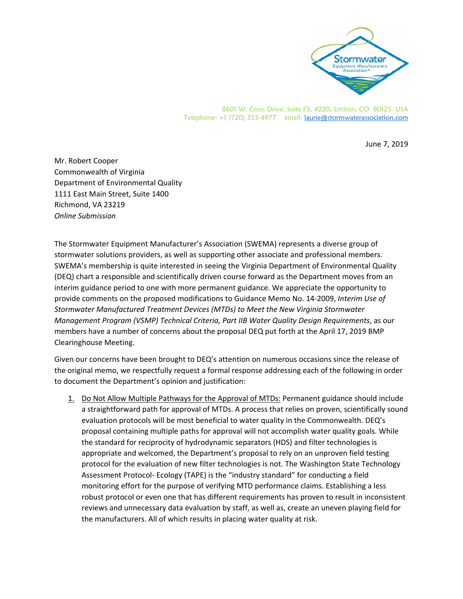

8601 W. Cross Drive, Suite F5, #220, Littlton, CO 80125 USA Telephone: +1 (720) 353-4977 email: laurie@stormwaterassociation.com

June 7, 2019

Mr. Robert Cooper Commonwealth of Virginia Department of Environmental Quality 1111 East Main Street, Suite 1400 Richmond, VA 23219 *Online Submission* 

The Stormwater Equipment Manufacturer's Association (SWEMA) represents a diverse group of stormwater solutions providers, as well as supporting other associate and professional members. SWEMA's membership is quite interested in seeing the Virginia Department of Environmental Quality (DEQ) chart a responsible and scientifically driven course forward as the Department moves from an interim guidance period to one with more permanent guidance. We appreciate the opportunity to provide comments on the proposed modifications to Guidance Memo No. 14‐2009, *Interim Use of Stormwater Manufactured Treatment Devices (MTDs) to Meet the New Virginia Stormwater Management Program (VSMP) Technical Criteria, Part IIB Water Quality Design Requirements*, as our members have a number of concerns about the proposal DEQ put forth at the April 17, 2019 BMP Clearinghouse Meeting.

Given our concerns have been brought to DEQ's attention on numerous occasions since the release of the original memo, we respectfully request a formal response addressing each of the following in order to document the Department's opinion and justification:

1. Do Not Allow Multiple Pathways for the Approval of MTDs: Permanent guidance should include a straightforward path for approval of MTDs. A process that relies on proven, scientifically sound evaluation protocols will be most beneficial to water quality in the Commonwealth. DEQ's proposal containing multiple paths for approval will not accomplish water quality goals. While the standard for reciprocity of hydrodynamic separators (HDS) and filter technologies is appropriate and welcomed, the Department's proposal to rely on an unproven field testing protocol for the evaluation of new filter technologies is not. The Washington State Technology Assessment Protocol‐ Ecology (TAPE) is the "industry standard" for conducting a field monitoring effort for the purpose of verifying MTD performance claims. Establishing a less robust protocol or even one that has different requirements has proven to result in inconsistent reviews and unnecessary data evaluation by staff, as well as, create an uneven playing field for the manufacturers. All of which results in placing water quality at risk.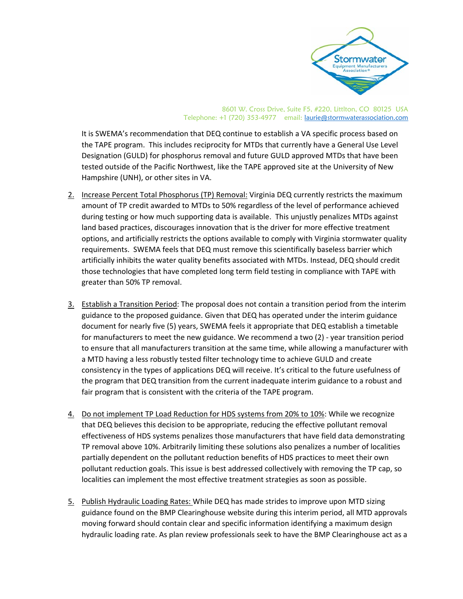

8601 W. Cross Drive, Suite F5, #220, Littlton, CO 80125 USA Telephone: +1 (720) 353-4977 email: laurie@stormwaterassociation.com

It is SWEMA's recommendation that DEQ continue to establish a VA specific process based on the TAPE program. This includes reciprocity for MTDs that currently have a General Use Level Designation (GULD) for phosphorus removal and future GULD approved MTDs that have been tested outside of the Pacific Northwest, like the TAPE approved site at the University of New Hampshire (UNH), or other sites in VA.

- 2. Increase Percent Total Phosphorus (TP) Removal: Virginia DEQ currently restricts the maximum amount of TP credit awarded to MTDs to 50% regardless of the level of performance achieved during testing or how much supporting data is available. This unjustly penalizes MTDs against land based practices, discourages innovation that is the driver for more effective treatment options, and artificially restricts the options available to comply with Virginia stormwater quality requirements. SWEMA feels that DEQ must remove this scientifically baseless barrier which artificially inhibits the water quality benefits associated with MTDs. Instead, DEQ should credit those technologies that have completed long term field testing in compliance with TAPE with greater than 50% TP removal.
- 3. Establish a Transition Period: The proposal does not contain a transition period from the interim guidance to the proposed guidance. Given that DEQ has operated under the interim guidance document for nearly five (5) years, SWEMA feels it appropriate that DEQ establish a timetable for manufacturers to meet the new guidance. We recommend a two (2) - year transition period to ensure that all manufacturers transition at the same time, while allowing a manufacturer with a MTD having a less robustly tested filter technology time to achieve GULD and create consistency in the types of applications DEQ will receive. It's critical to the future usefulness of the program that DEQ transition from the current inadequate interim guidance to a robust and fair program that is consistent with the criteria of the TAPE program.
- 4. Do not implement TP Load Reduction for HDS systems from 20% to 10%: While we recognize that DEQ believes this decision to be appropriate, reducing the effective pollutant removal effectiveness of HDS systems penalizes those manufacturers that have field data demonstrating TP removal above 10%. Arbitrarily limiting these solutions also penalizes a number of localities partially dependent on the pollutant reduction benefits of HDS practices to meet their own pollutant reduction goals. This issue is best addressed collectively with removing the TP cap, so localities can implement the most effective treatment strategies as soon as possible.
- 5. Publish Hydraulic Loading Rates: While DEQ has made strides to improve upon MTD sizing guidance found on the BMP Clearinghouse website during this interim period, all MTD approvals moving forward should contain clear and specific information identifying a maximum design hydraulic loading rate. As plan review professionals seek to have the BMP Clearinghouse act as a